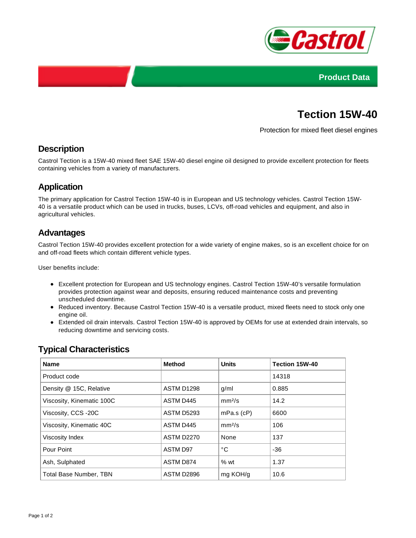



# **Tection 15W-40**

Protection for mixed fleet diesel engines

## **Description**

Castrol Tection is a 15W-40 mixed fleet SAE 15W-40 diesel engine oil designed to provide excellent protection for fleets containing vehicles from a variety of manufacturers.

## **Application**

The primary application for Castrol Tection 15W-40 is in European and US technology vehicles. Castrol Tection 15W-40 is a versatile product which can be used in trucks, buses, LCVs, off-road vehicles and equipment, and also in agricultural vehicles.

## **Advantages**

Castrol Tection 15W-40 provides excellent protection for a wide variety of engine makes, so is an excellent choice for on and off-road fleets which contain different vehicle types.

User benefits include:

- Excellent protection for European and US technology engines. Castrol Tection 15W-40's versatile formulation provides protection against wear and deposits, ensuring reduced maintenance costs and preventing unscheduled downtime.
- Reduced inventory. Because Castrol Tection 15W-40 is a versatile product, mixed fleets need to stock only one engine oil.
- Extended oil drain intervals. Castrol Tection 15W-40 is approved by OEMs for use at extended drain intervals, so reducing downtime and servicing costs.

| <b>Name</b>                   | <b>Method</b>     | <b>Units</b>       | Tection 15W-40 |
|-------------------------------|-------------------|--------------------|----------------|
| Product code                  |                   |                    | 14318          |
| Density @ 15C, Relative       | <b>ASTM D1298</b> | g/ml               | 0.885          |
| Viscosity, Kinematic 100C     | ASTM D445         | mm <sup>2</sup> /s | 14.2           |
| Viscosity, CCS -20C           | <b>ASTM D5293</b> | $mPa.s$ ( $cP$ )   | 6600           |
| Viscosity, Kinematic 40C      | ASTM D445         | mm <sup>2</sup> /s | 106            |
| Viscosity Index               | <b>ASTM D2270</b> | None               | 137            |
| Pour Point                    | ASTM D97          | °C                 | $-36$          |
| Ash, Sulphated                | ASTM D874         | %wt                | 1.37           |
| <b>Total Base Number, TBN</b> | ASTM D2896        | mg KOH/g           | 10.6           |

## **Typical Characteristics**